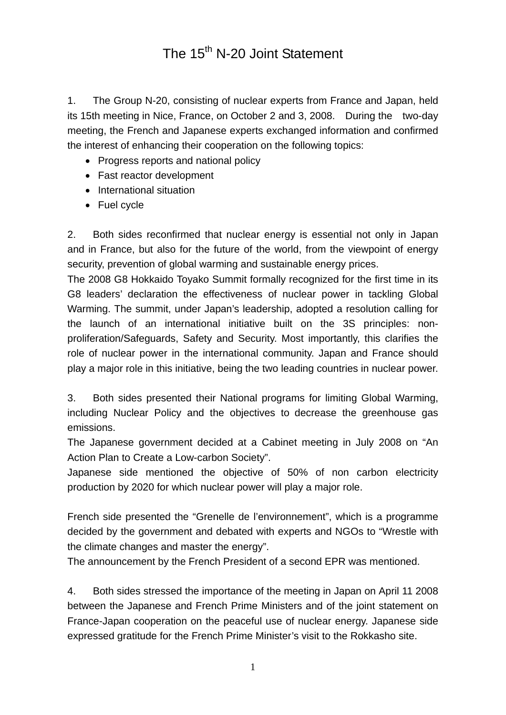## The 15<sup>th</sup> N-20 Joint Statement

1. The Group N-20, consisting of nuclear experts from France and Japan, held its 15th meeting in Nice, France, on October 2 and 3, 2008. During the two-day meeting, the French and Japanese experts exchanged information and confirmed the interest of enhancing their cooperation on the following topics:

- Progress reports and national policy
- Fast reactor development
- International situation
- Fuel cycle

2. Both sides reconfirmed that nuclear energy is essential not only in Japan and in France, but also for the future of the world, from the viewpoint of energy security, prevention of global warming and sustainable energy prices.

The 2008 G8 Hokkaido Toyako Summit formally recognized for the first time in its G8 leaders' declaration the effectiveness of nuclear power in tackling Global Warming. The summit, under Japan's leadership, adopted a resolution calling for the launch of an international initiative built on the 3S principles: nonproliferation/Safeguards, Safety and Security. Most importantly, this clarifies the role of nuclear power in the international community. Japan and France should play a major role in this initiative, being the two leading countries in nuclear power.

3. Both sides presented their National programs for limiting Global Warming, including Nuclear Policy and the objectives to decrease the greenhouse gas emissions.

The Japanese government decided at a Cabinet meeting in July 2008 on "An Action Plan to Create a Low-carbon Society".

Japanese side mentioned the objective of 50% of non carbon electricity production by 2020 for which nuclear power will play a major role.

French side presented the "Grenelle de l'environnement", which is a programme decided by the government and debated with experts and NGOs to "Wrestle with the climate changes and master the energy".

The announcement by the French President of a second EPR was mentioned.

4. Both sides stressed the importance of the meeting in Japan on April 11 2008 between the Japanese and French Prime Ministers and of the joint statement on France-Japan cooperation on the peaceful use of nuclear energy. Japanese side expressed gratitude for the French Prime Minister's visit to the Rokkasho site.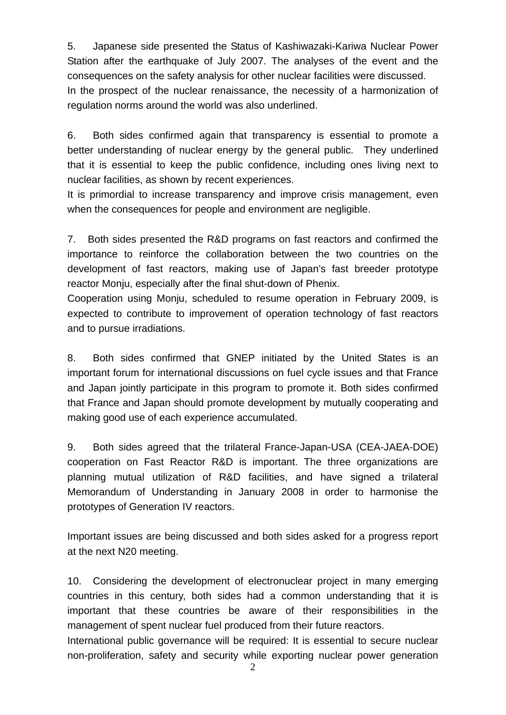5. Japanese side presented the Status of Kashiwazaki-Kariwa Nuclear Power Station after the earthquake of July 2007. The analyses of the event and the consequences on the safety analysis for other nuclear facilities were discussed. In the prospect of the nuclear renaissance, the necessity of a harmonization of regulation norms around the world was also underlined.

6. Both sides confirmed again that transparency is essential to promote a better understanding of nuclear energy by the general public. They underlined that it is essential to keep the public confidence, including ones living next to nuclear facilities, as shown by recent experiences.

It is primordial to increase transparency and improve crisis management, even when the consequences for people and environment are negligible.

7. Both sides presented the R&D programs on fast reactors and confirmed the importance to reinforce the collaboration between the two countries on the development of fast reactors, making use of Japan's fast breeder prototype reactor Monju, especially after the final shut-down of Phenix.

Cooperation using Monju, scheduled to resume operation in February 2009, is expected to contribute to improvement of operation technology of fast reactors and to pursue irradiations.

8. Both sides confirmed that GNEP initiated by the United States is an important forum for international discussions on fuel cycle issues and that France and Japan jointly participate in this program to promote it. Both sides confirmed that France and Japan should promote development by mutually cooperating and making good use of each experience accumulated.

9. Both sides agreed that the trilateral France-Japan-USA (CEA-JAEA-DOE) cooperation on Fast Reactor R&D is important. The three organizations are planning mutual utilization of R&D facilities, and have signed a trilateral Memorandum of Understanding in January 2008 in order to harmonise the prototypes of Generation IV reactors.

Important issues are being discussed and both sides asked for a progress report at the next N20 meeting.

10. Considering the development of electronuclear project in many emerging countries in this century, both sides had a common understanding that it is important that these countries be aware of their responsibilities in the management of spent nuclear fuel produced from their future reactors.

International public governance will be required: It is essential to secure nuclear non-proliferation, safety and security while exporting nuclear power generation